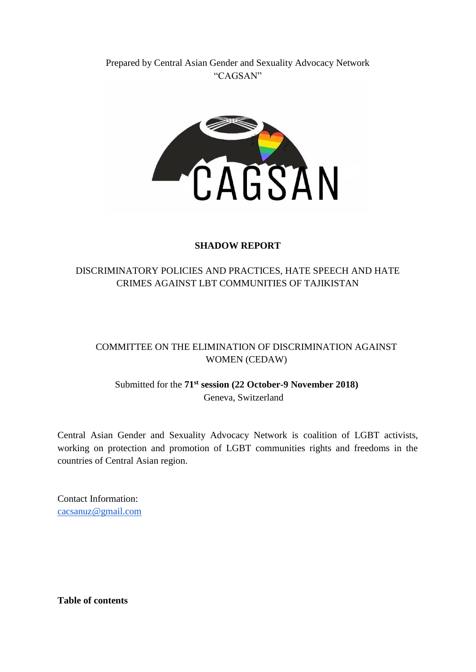## Prepared by Central Asian Gender and Sexuality Advocacy Network "CAGSAN"



### **SHADOW REPORT**

# DISCRIMINATORY POLICIES AND PRACTICES, HATE SPEECH AND HATE CRIMES AGAINST LBT COMMUNITIES OF TAJIKISTAN

# COMMITTEE ON THE ELIMINATION OF DISCRIMINATION AGAINST WOMEN (CEDAW)

# Submitted for the **71st session (22 October-9 November 2018)**  Geneva, Switzerland

Central Asian Gender and Sexuality Advocacy Network is coalition of LGBT activists, working on protection and promotion of LGBT communities rights and freedoms in the countries of Central Asian region.

Contact Information: [cacsanuz@gmail.com](mailto:cacsanuz@gmail.com)

**Table of contents**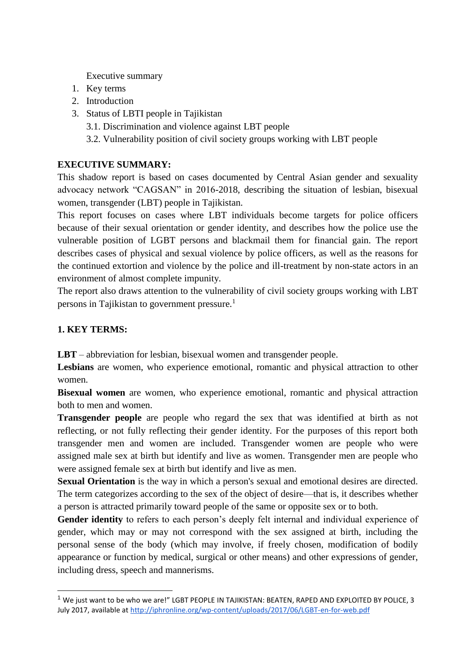Executive summary

- 1. Key terms
- 2. Introduction
- 3. Status of LBTI people in Tajikistan
	- 3.1. Discrimination and violence against LBT people
	- 3.2. Vulnerability position of civil society groups working with LBT people

### **EXECUTIVE SUMMARY:**

This shadow report is based on cases documented by Central Asian gender and sexuality advocacy network "CAGSAN" in 2016-2018, describing the situation of lesbian, bisexual women, transgender (LBT) people in Tajikistan.

This report focuses on cases where LBT individuals become targets for police officers because of their sexual orientation or gender identity, and describes how the police use the vulnerable position of LGBT persons and blackmail them for financial gain. The report describes cases of physical and sexual violence by police officers, as well as the reasons for the continued extortion and violence by the police and ill-treatment by non-state actors in an environment of almost complete impunity.

The report also draws attention to the vulnerability of civil society groups working with LBT persons in Tajikistan to government pressure.<sup>1</sup>

### **1. KEY TERMS:**

-

**LBT** – abbreviation for lesbian, bisexual women and transgender people.

**Lesbians** are women, who experience emotional, romantic and physical attraction to other women.

**Bisexual women** are women, who experience emotional, romantic and physical attraction both to men and women.

**Transgender people** are people who regard the sex that was identified at birth as not reflecting, or not fully reflecting their gender identity. For the purposes of this report both transgender men and women are included. Transgender women are people who were assigned male sex at birth but identify and live as women. Transgender men are people who were assigned female sex at birth but identify and live as men.

**Sexual Orientation** is the way in which a person's sexual and emotional desires are directed. The term categorizes according to the sex of the object of desire—that is, it describes whether a person is attracted primarily toward people of the same or opposite sex or to both.

**Gender identity** to refers to each person's deeply felt internal and individual experience of gender, which may or may not correspond with the sex assigned at birth, including the personal sense of the body (which may involve, if freely chosen, modification of bodily appearance or function by medical, surgical or other means) and other expressions of gender, including dress, speech and mannerisms.

 $1$  We just want to be who we are!" LGBT PEOPLE IN TAJIKISTAN: BEATEN, RAPED AND EXPLOITED BY POLICE, 3 July 2017, available at<http://iphronline.org/wp-content/uploads/2017/06/LGBT-en-for-web.pdf>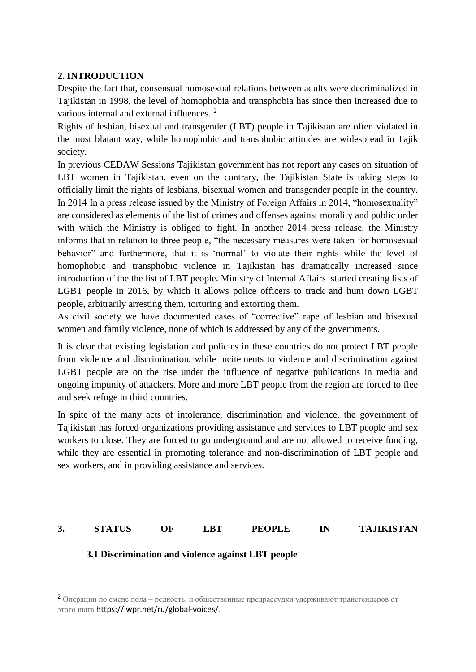### **2. INTRODUCTION**

Despite the fact that, consensual homosexual relations between adults were decriminalized in Tajikistan in 1998, the level of homophobia and transphobia has since then increased due to various internal and external influences.<sup>2</sup>

Rights of lesbian, bisexual and transgender (LBT) people in Tajikistan are often violated in the most blatant way, while homophobic and transphobic attitudes are widespread in Tajik society.

In previous CEDAW Sessions Tajikistan government has not report any cases on situation of LBT women in Tajikistan, even on the contrary, the Tajikistan State is taking steps to officially limit the rights of lesbians, bisexual women and transgender people in the country. In 2014 In a press release issued by the Ministry of Foreign Affairs in 2014, "homosexuality" are considered as elements of the list of crimes and offenses against morality and public order with which the Ministry is obliged to fight. In another 2014 press release, the Ministry informs that in relation to three people, "the necessary measures were taken for homosexual behavior" and furthermore, that it is 'normal' to violate their rights while the level of homophobic and transphobic violence in Tajikistan has dramatically increased since introduction of the the list of LBT people. Ministry of Internal Affairs started creating lists of LGBT people in 2016, by which it allows police officers to track and hunt down LGBT people, arbitrarily arresting them, torturing and extorting them.

As civil society we have documented cases of "corrective" rape of lesbian and bisexual women and family violence, none of which is addressed by any of the governments.

It is clear that existing legislation and policies in these countries do not protect LBT people from violence and discrimination, while incitements to violence and discrimination against LGBT people are on the rise under the influence of negative publications in media and ongoing impunity of attackers. More and more LBT people from the region are forced to flee and seek refuge in third countries.

In spite of the many acts of intolerance, discrimination and violence, the government of Tajikistan has forced organizations providing assistance and services to LBT people and sex workers to close. They are forced to go underground and are not allowed to receive funding, while they are essential in promoting tolerance and non-discrimination of LBT people and sex workers, and in providing assistance and services.

### **3. STATUS OF LBT PEOPLE IN TAJIKISTAN**

**3.1 Discrimination and violence against LBT people**

-

<sup>2</sup> Операции по смене пола – редкость, и общественные предрассудки удерживают трансгендеров от этого шага https://iwpr.net/ru/global-voices/.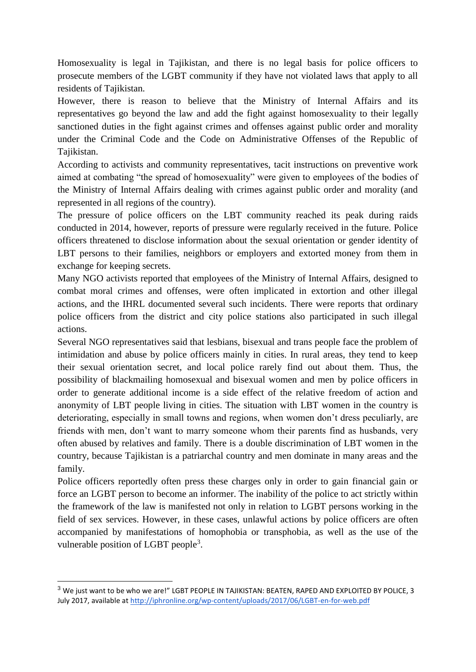Homosexuality is legal in Tajikistan, and there is no legal basis for police officers to prosecute members of the LGBT community if they have not violated laws that apply to all residents of Tajikistan.

However, there is reason to believe that the Ministry of Internal Affairs and its representatives go beyond the law and add the fight against homosexuality to their legally sanctioned duties in the fight against crimes and offenses against public order and morality under the Criminal Code and the Code on Administrative Offenses of the Republic of Tajikistan.

According to activists and community representatives, tacit instructions on preventive work aimed at combating "the spread of homosexuality" were given to employees of the bodies of the Ministry of Internal Affairs dealing with crimes against public order and morality (and represented in all regions of the country).

The pressure of police officers on the LBT community reached its peak during raids conducted in 2014, however, reports of pressure were regularly received in the future. Police officers threatened to disclose information about the sexual orientation or gender identity of LBT persons to their families, neighbors or employers and extorted money from them in exchange for keeping secrets.

Many NGO activists reported that employees of the Ministry of Internal Affairs, designed to combat moral crimes and offenses, were often implicated in extortion and other illegal actions, and the IHRL documented several such incidents. There were reports that ordinary police officers from the district and city police stations also participated in such illegal actions.

Several NGO representatives said that lesbians, bisexual and trans people face the problem of intimidation and abuse by police officers mainly in cities. In rural areas, they tend to keep their sexual orientation secret, and local police rarely find out about them. Thus, the possibility of blackmailing homosexual and bisexual women and men by police officers in order to generate additional income is a side effect of the relative freedom of action and anonymity of LBT people living in cities. The situation with LBT women in the country is deteriorating, especially in small towns and regions, when women don't dress peculiarly, are friends with men, don't want to marry someone whom their parents find as husbands, very often abused by relatives and family. There is a double discrimination of LBT women in the country, because Tajikistan is a patriarchal country and men dominate in many areas and the family.

Police officers reportedly often press these charges only in order to gain financial gain or force an LGBT person to become an informer. The inability of the police to act strictly within the framework of the law is manifested not only in relation to LGBT persons working in the field of sex services. However, in these cases, unlawful actions by police officers are often accompanied by manifestations of homophobia or transphobia, as well as the use of the vulnerable position of LGBT people<sup>3</sup>.

-

<sup>&</sup>lt;sup>3</sup> We just want to be who we are!" LGBT PEOPLE IN TAJIKISTAN: BEATEN, RAPED AND EXPLOITED BY POLICE, 3 July 2017, available at<http://iphronline.org/wp-content/uploads/2017/06/LGBT-en-for-web.pdf>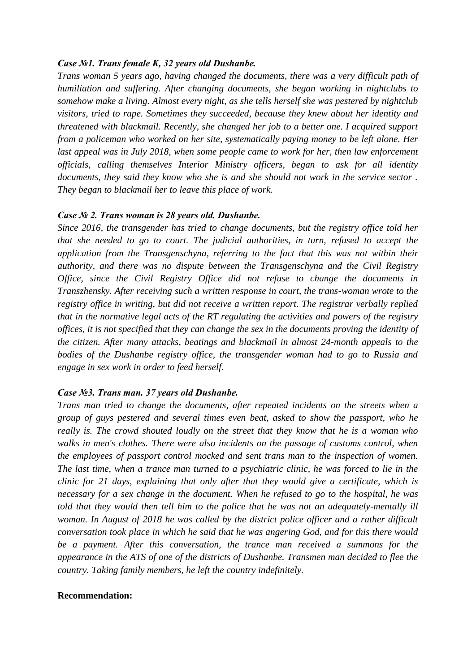#### *Case №1. Trans female K, 32 years old Dushanbe.*

*Trans woman 5 years ago, having changed the documents, there was a very difficult path of humiliation and suffering. After changing documents, she began working in nightclubs to somehow make a living. Almost every night, as she tells herself she was pestered by nightclub visitors, tried to rape. Sometimes they succeeded, because they knew about her identity and threatened with blackmail. Recently, she changed her job to a better one. I acquired support from a policeman who worked on her site, systematically paying money to be left alone. Her last appeal was in July 2018, when some people came to work for her, then law enforcement officials, calling themselves Interior Ministry officers, began to ask for all identity documents, they said they know who she is and she should not work in the service sector . They began to blackmail her to leave this place of work.*

#### *Case № 2. Trans woman is 28 years old. Dushanbe.*

*Since 2016, the transgender has tried to change documents, but the registry office told her that she needed to go to court. The judicial authorities, in turn, refused to accept the application from the Transgenschyna, referring to the fact that this was not within their authority, and there was no dispute between the Transgenschyna and the Civil Registry Office, since the Civil Registry Office did not refuse to change the documents in Transzhensky. After receiving such a written response in court, the trans-woman wrote to the registry office in writing, but did not receive a written report. The registrar verbally replied that in the normative legal acts of the RT regulating the activities and powers of the registry offices, it is not specified that they can change the sex in the documents proving the identity of the citizen. After many attacks, beatings and blackmail in almost 24-month appeals to the bodies of the Dushanbe registry office, the transgender woman had to go to Russia and engage in sex work in order to feed herself.*

#### *Case №3. Trans man. 37 years old Dushanbe.*

*Trans man tried to change the documents, after repeated incidents on the streets when a group of guys pestered and several times even beat, asked to show the passport, who he really is. The crowd shouted loudly on the street that they know that he is a woman who walks in men's clothes. There were also incidents on the passage of customs control, when the employees of passport control mocked and sent trans man to the inspection of women. The last time, when a trance man turned to a psychiatric clinic, he was forced to lie in the clinic for 21 days, explaining that only after that they would give a certificate, which is necessary for a sex change in the document. When he refused to go to the hospital, he was told that they would then tell him to the police that he was not an adequately-mentally ill woman. In August of 2018 he was called by the district police officer and a rather difficult conversation took place in which he said that he was angering God, and for this there would be a payment. After this conversation, the trance man received a summons for the appearance in the ATS of one of the districts of Dushanbe. Transmen man decided to flee the country. Taking family members, he left the country indefinitely.*

### **Recommendation:**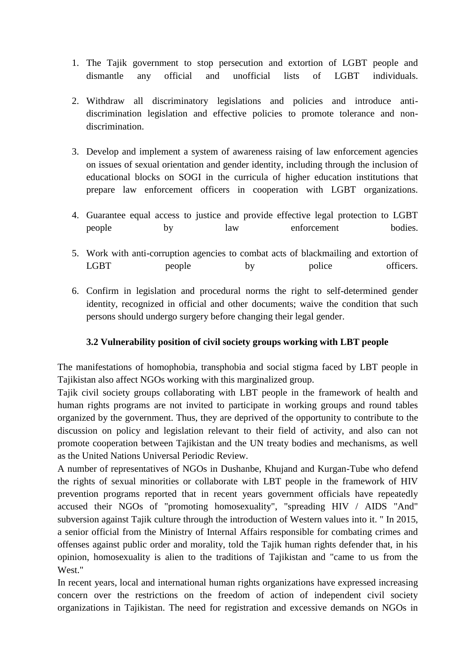- 1. The Tajik government to stop persecution and extortion of LGBT people and dismantle any official and unofficial lists of LGBT individuals.
- 2. Withdraw all discriminatory legislations and policies and introduce antidiscrimination legislation and effective policies to promote tolerance and nondiscrimination.
- 3. Develop and implement a system of awareness raising of law enforcement agencies on issues of sexual orientation and gender identity, including through the inclusion of educational blocks on SOGI in the curricula of higher education institutions that prepare law enforcement officers in cooperation with LGBT organizations.
- 4. Guarantee equal access to justice and provide effective legal protection to LGBT people by law enforcement bodies.
- 5. Work with anti-corruption agencies to combat acts of blackmailing and extortion of LGBT people by police officers.
- 6. Confirm in legislation and procedural norms the right to self-determined gender identity, recognized in official and other documents; waive the condition that such persons should undergo surgery before changing their legal gender.

# **3.2 Vulnerability position of civil society groups working with LBT people**

The manifestations of homophobia, transphobia and social stigma faced by LBT people in Tajikistan also affect NGOs working with this marginalized group.

Tajik civil society groups collaborating with LBT people in the framework of health and human rights programs are not invited to participate in working groups and round tables organized by the government. Thus, they are deprived of the opportunity to contribute to the discussion on policy and legislation relevant to their field of activity, and also can not promote cooperation between Tajikistan and the UN treaty bodies and mechanisms, as well as the United Nations Universal Periodic Review.

A number of representatives of NGOs in Dushanbe, Khujand and Kurgan-Tube who defend the rights of sexual minorities or collaborate with LBT people in the framework of HIV prevention programs reported that in recent years government officials have repeatedly accused their NGOs of "promoting homosexuality", "spreading HIV / AIDS "And" subversion against Tajik culture through the introduction of Western values into it. " In 2015, a senior official from the Ministry of Internal Affairs responsible for combating crimes and offenses against public order and morality, told the Tajik human rights defender that, in his opinion, homosexuality is alien to the traditions of Tajikistan and "came to us from the West."

In recent years, local and international human rights organizations have expressed increasing concern over the restrictions on the freedom of action of independent civil society organizations in Tajikistan. The need for registration and excessive demands on NGOs in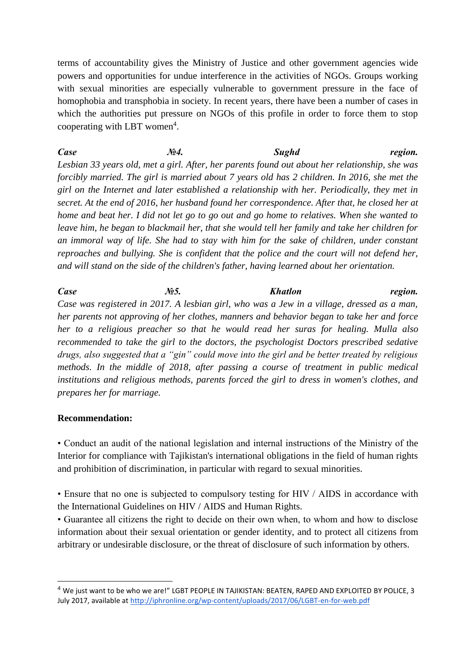terms of accountability gives the Ministry of Justice and other government agencies wide powers and opportunities for undue interference in the activities of NGOs. Groups working with sexual minorities are especially vulnerable to government pressure in the face of homophobia and transphobia in society. In recent years, there have been a number of cases in which the authorities put pressure on NGOs of this profile in order to force them to stop cooperating with LBT women<sup>4</sup>.

*Case №4. Sughd region. Lesbian 33 years old, met a girl. After, her parents found out about her relationship, she was forcibly married. The girl is married about 7 years old has 2 children. In 2016, she met the girl on the Internet and later established a relationship with her. Periodically, they met in secret. At the end of 2016, her husband found her correspondence. After that, he closed her at home and beat her. I did not let go to go out and go home to relatives. When she wanted to leave him, he began to blackmail her, that she would tell her family and take her children for an immoral way of life. She had to stay with him for the sake of children, under constant reproaches and bullying. She is confident that the police and the court will not defend her, and will stand on the side of the children's father, having learned about her orientation.*

*Case №5. Khatlon region. Case was registered in 2017. A lesbian girl, who was a Jew in a village, dressed as a man, her parents not approving of her clothes, manners and behavior began to take her and force her to a religious preacher so that he would read her suras for healing. Mulla also recommended to take the girl to the doctors, the psychologist Doctors prescribed sedative drugs, also suggested that a "gin" could move into the girl and be better treated by religious methods. In the middle of 2018, after passing a course of treatment in public medical institutions and religious methods, parents forced the girl to dress in women's clothes, and prepares her for marriage.*

#### **Recommendation:**

-

• Conduct an audit of the national legislation and internal instructions of the Ministry of the Interior for compliance with Tajikistan's international obligations in the field of human rights and prohibition of discrimination, in particular with regard to sexual minorities.

• Ensure that no one is subjected to compulsory testing for HIV / AIDS in accordance with the International Guidelines on HIV / AIDS and Human Rights.

• Guarantee all citizens the right to decide on their own when, to whom and how to disclose information about their sexual orientation or gender identity, and to protect all citizens from arbitrary or undesirable disclosure, or the threat of disclosure of such information by others.

<sup>4</sup> We just want to be who we are!" LGBT PEOPLE IN TAJIKISTAN: BEATEN, RAPED AND EXPLOITED BY POLICE, 3 July 2017, available at<http://iphronline.org/wp-content/uploads/2017/06/LGBT-en-for-web.pdf>